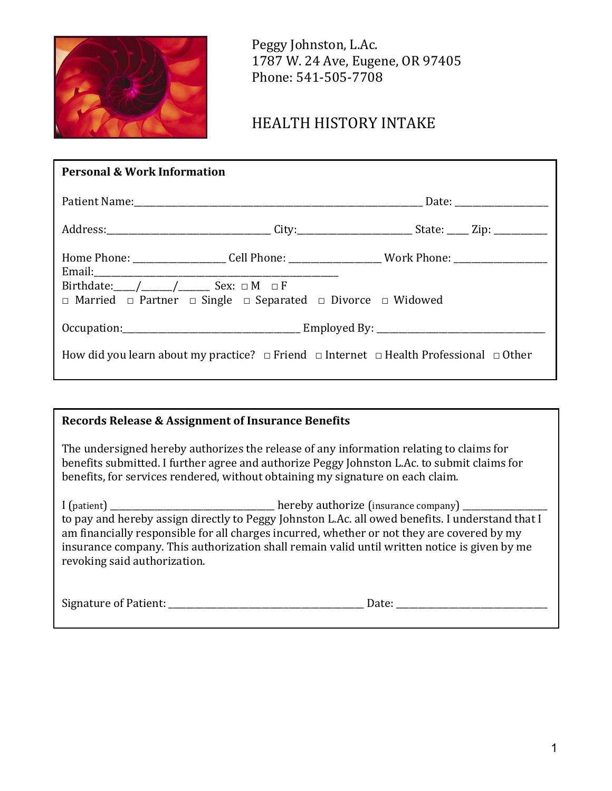

 Peggy Johnston, L.Ac. 1787 W. 24 Ave, Eugene, OR 97405 Phone: 541-505-7708

# HEALTH HISTORY INTAKE

| <b>Personal &amp; Work Information</b>                                                                     |                                                                                                     |  |  |  |  |  |
|------------------------------------------------------------------------------------------------------------|-----------------------------------------------------------------------------------------------------|--|--|--|--|--|
|                                                                                                            |                                                                                                     |  |  |  |  |  |
|                                                                                                            |                                                                                                     |  |  |  |  |  |
|                                                                                                            | Home Phone: _____________________Cell Phone: ___________________Work Phone: _______________________ |  |  |  |  |  |
|                                                                                                            | $\Box$ Married $\Box$ Partner $\Box$ Single $\Box$ Separated $\Box$ Divorce $\Box$ Widowed          |  |  |  |  |  |
|                                                                                                            |                                                                                                     |  |  |  |  |  |
| How did you learn about my practice? $\Box$ Friend $\Box$ Internet $\Box$ Health Professional $\Box$ Other |                                                                                                     |  |  |  |  |  |

### **Records Release & Assignment of Insurance Benefits**

The undersigned hereby authorizes the release of any information relating to claims for benefits submitted. I further agree and authorize Peggy Johnston L.Ac. to submit claims for benefits, for services rendered, without obtaining my signature on each claim.

I (patient) \_\_\_\_\_\_\_\_\_\_\_\_\_\_\_\_\_\_\_\_\_\_\_\_\_\_\_\_\_\_\_\_\_\_\_\_\_ hereby authorize (insurance company) \_\_\_\_\_\_\_\_\_\_\_\_\_\_\_\_\_\_\_ to pay and hereby assign directly to Peggy Johnston L.Ac. all owed benefits. I understand that I am financially responsible for all charges incurred, whether or not they are covered by my insurance company. This authorization shall remain valid until written notice is given by me revoking said authorization.

| Signature of Patient:<br>.<br>$\sim$ $\sim$ $\sim$ $\sim$ $\sim$ $\sim$ $\sim$ |  |
|--------------------------------------------------------------------------------|--|
|--------------------------------------------------------------------------------|--|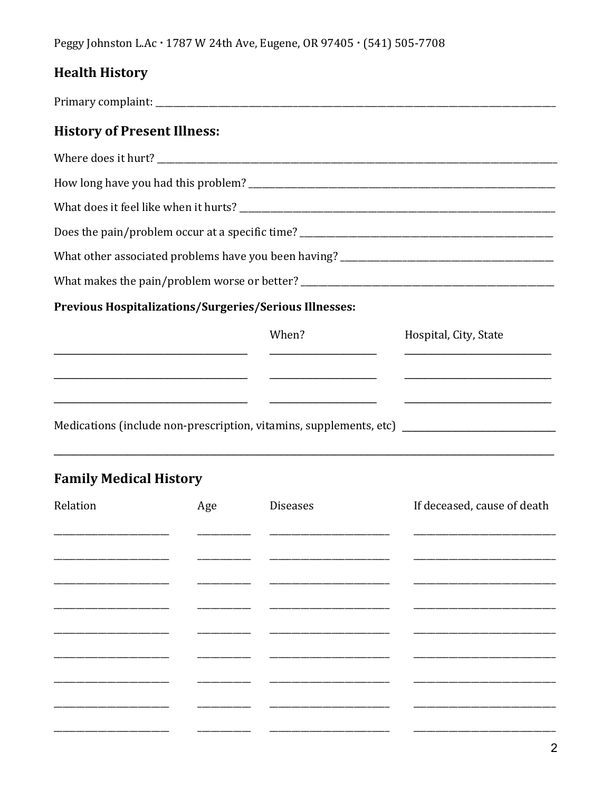Peggy Johnston L.Ac · 1787 W 24th Ave, Eugene, OR 97405 · (541) 505-7708

# **Health History**

**History of Present Illness:** How long have you had this problem? What does it feel like when it hurts? Does the pain/problem occur at a specific time? What makes the pain/problem worse or better? **Previous Hospitalizations/Surgeries/Serious Illnesses:** When? Hospital, City, State <u> 1989 - Johann Harry Harry Harry Harry Harry Harry Harry Harry Harry Harry Harry Harry Harry Harry Harry Harry H</u> <u> Territoria de la contenentación de la contenentación de la contenentación de la contenentación de la contenentación de la contenentación de la contenentación de la contenentación de la contenentación de la contenentación</u> Medications (include non-prescription, vitamins, supplements, etc) \_\_\_\_\_\_\_\_\_\_\_\_\_\_

# **Family Medical History**

| Relation | Age | <b>Diseases</b> | If deceased, cause of death |
|----------|-----|-----------------|-----------------------------|
|          |     |                 |                             |
|          |     |                 |                             |
|          |     |                 |                             |
|          |     |                 |                             |
|          |     |                 |                             |
|          |     |                 |                             |
|          |     |                 |                             |
|          |     |                 |                             |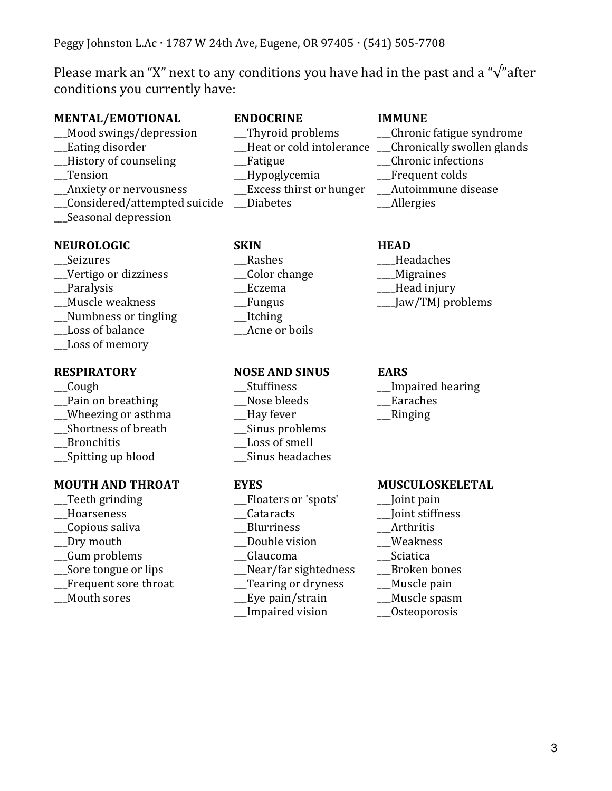Please mark an "X" next to any conditions you have had in the past and a " $\sqrt{\ }$ " after conditions you currently have:

# **MENTAL/EMOTIONAL ENDOCRINE IMMUNE**

- \_\_\_Mood swings/depression \_\_\_Thyroid problems \_\_\_Chronic fatigue syndrome
- 
- 
- \_\_Anxiety or nervousness
- \_\_\_Considered/attempted suicide \_\_\_Diabetes \_\_\_Allergies
- \_\_\_Seasonal depression

## NEUROLOGIC SKIN HEAD

- 
- 
- 
- 
- \_\_Numbness or tingling
- \_\_\_Loss of balance \_\_\_Acne or boils
- \_\_\_Loss of memory

- 
- 
- \_\_\_Pain on breathing \_\_\_Nose bleeds \_\_\_Earaches \_\_\_Wheezing or asthma \_\_\_Hay fever \_\_\_Ringing
- 
- 
- \_\_\_Spitting up blood \_\_\_Sinus headaches

### **MOUTH AND THROAT EYES MUSCULOSKELETAL**

- 
- 
- \_\_\_Copious saliva \_\_\_Blurriness \_\_\_Arthritis
- 
- \_\_\_Gum problems \_\_\_Glaucoma \_\_\_Sciatica
- 
- Frequent sore throat Tearing or dryness Muscle pain
- 

- -
- 
- \_\_\_Tension \_\_\_Hypoglycemia \_\_\_Frequent colds
	-
	-

Seizures **Example 20** Rashes **Rashes Example 20** Headaches \_\_\_Vertigo or dizziness \_\_\_Color change \_\_\_\_Migraines Lextema Lexikon and Lexikon and Mead injury \_\_\_Muscle weakness \_\_\_Fungus \_\_\_\_Jaw/TMJ problems

### **RESPIRATORY NOSE AND SINUS EARS**

- 
- 
- 
- \_\_\_Shortness of breath \_\_\_Sinus problems
	- \_\_Loss of smell
	-

- \_\_\_Teeth grinding \_\_\_Floaters or 'spots' \_\_\_Joint pain
	-
	-
- \_\_\_Dry mouth \_\_\_Double vision \_\_\_Weakness
	-
- \_\_\_Sore tongue or lips \_\_\_Near/far sightedness \_\_\_Broken bones
	-
	- \_\_\_Mouth sores \_\_\_Eye pain/strain \_\_\_Muscle spasm
		- \_\_\_Impaired vision \_\_\_Osteoporosis

- 
- \_Heat or cold intolerance \_\_\_Chronically swollen glands
- \_\_\_History of counseling \_\_\_Fatigue \_\_\_Chronic infections
	-
	-
	-

- 
- 
- 
- 

- \_\_\_Cough \_\_\_Stuffiness \_\_\_Impaired hearing
	-

- 
- \_\_\_Hoarseness \_\_\_Cataracts \_\_\_Joint stiffness
	-
	-
	-
	-
	-
	-
	-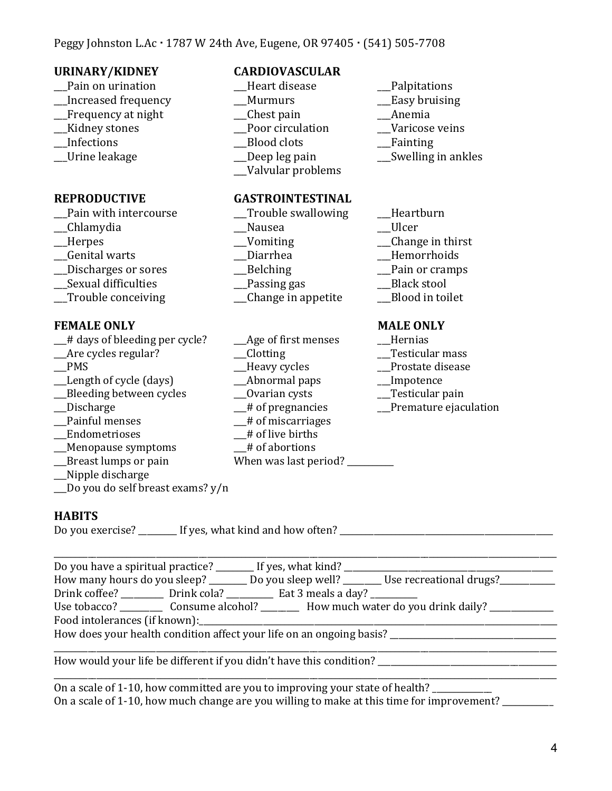| <b>URINARY/KIDNEY</b><br>Pain on urination<br>Increased frequency<br>Frequency at night<br>Kidney stones<br>Infections<br>Urine leakage                                                                                                                                                                                                                                                                                                                                            | <b>CARDIOVASCULAR</b><br>Heart disease<br>Murmurs<br>Chest pain<br>Poor circulation<br><b>Blood</b> clots<br>Deep leg pain<br>Valvular problems                                                                                                                                                                                                                          | Palpitations<br>Easy bruising<br>Anemia<br>Varicose veins<br>Fainting<br>Swelling in ankles                                                                                                                                                     |
|------------------------------------------------------------------------------------------------------------------------------------------------------------------------------------------------------------------------------------------------------------------------------------------------------------------------------------------------------------------------------------------------------------------------------------------------------------------------------------|--------------------------------------------------------------------------------------------------------------------------------------------------------------------------------------------------------------------------------------------------------------------------------------------------------------------------------------------------------------------------|-------------------------------------------------------------------------------------------------------------------------------------------------------------------------------------------------------------------------------------------------|
| <b>REPRODUCTIVE</b><br>Pain with intercourse<br>Chlamydia<br>Herpes<br>Genital warts<br>Discharges or sores<br>Sexual difficulties<br>Trouble conceiving<br><b>FEMALE ONLY</b><br># days of bleeding per cycle?<br>Are cycles regular?<br><b>PMS</b><br>Length of cycle (days)<br>Bleeding between cycles<br>Discharge<br>Painful menses<br>Endometrioses<br>__Menopause symptoms<br>Breast lumps or pain<br>Nipple discharge<br>Do you do self breast exams? y/n<br><b>HABITS</b> | <b>GASTROINTESTINAL</b><br>Trouble swallowing<br>Nausea<br>_Vomiting<br>Diarrhea<br><b>Belching</b><br>Passing gas<br>Change in appetite<br>Age of first menses<br><b>Clotting</b><br>Heavy cycles<br>Abnormal paps<br>__Ovarian cysts<br>$\mathcal{L}$ # of pregnancies<br>__# of miscarriages<br># of live births<br># of abortions<br>When was last period? _________ | Heartburn<br>Ulcer<br>Change in thirst<br>Hemorrhoids<br>Pain or cramps<br><b>Black stool</b><br>Blood in toilet<br><b>MALE ONLY</b><br>Hernias<br>Testicular mass<br>Prostate disease<br>Impotence<br>Testicular pain<br>Premature ejaculation |
| Drink coffee? ___________ Drink cola? ____________ Eat 3 meals a day? __________                                                                                                                                                                                                                                                                                                                                                                                                   |                                                                                                                                                                                                                                                                                                                                                                          | How many hours do you sleep? ______ Do you sleep well? ______ Use recreational drugs?_________<br>Use tobacco? ____________ Consume alcohol? ___________ How much water do you drink daily? _______________                                     |

How does your health condition affect your life on an ongoing basis? \_\_\_\_\_\_\_\_\_\_\_\_\_\_\_\_\_\_\_\_\_\_\_\_\_\_\_\_\_\_\_\_\_\_\_\_\_\_\_

How would your life be different if you didn't have this condition? \_\_\_\_\_\_\_\_\_\_\_\_\_\_\_\_\_\_\_\_\_\_\_\_\_\_\_\_\_\_\_\_\_\_\_\_\_\_\_\_\_\_

On a scale of 1-10, how committed are you to improving your state of health? \_\_\_\_\_\_\_\_\_\_ On a scale of 1-10, how much change are you willing to make at this time for improvement? \_\_\_\_\_\_\_\_\_

 $\overline{a}$  , and the set of the set of the set of the set of the set of the set of the set of the set of the set of the set of the set of the set of the set of the set of the set of the set of the set of the set of the set